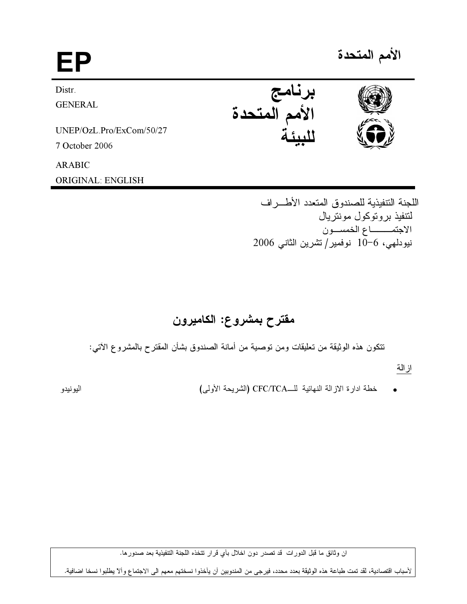$EP$   $^{5.5}$ Distr. **GENERAL** UNEP/OzL.Pro/ExCom/50/27 7 October 2006 ARABIC ORIGINAL: ENGLISH برنامج الأمم المتحدة للبيئة

> اللجنة التنفيذية للصندوق المتعدد الأطـــراف لتتفيذ بروتوكول مونتريال الاجتمــــــــــاع الخمســـون نيودلمهي، 6−10 نوفمير/ تشرين الثاني 2006

# مقترح بمشروع: الكاميرون

نتكون هذه الوثيقة من تعليقات ومن توصية من أمانة الصندوق بشأن المقترح بالمشروع الأتي:

از الة

● خطة ادارة الازالة النهائية للــCFC/TCA (الشريحة الأولى)

اليونيدو

ان وثائق ما قبل الدورات قد تصدر دون اخلال بأي قرار تتخذه اللجنة التنفيذية بعد صدور ها.

لأسباب اقتصادية، لقد تمت طباعة هذه الوثيقة بعدد محدد، فيرجى من المندوبين أن يأخذوا نسختهم معهم الى الاجتماع وألآ يطلبوا نسخا اضافية.





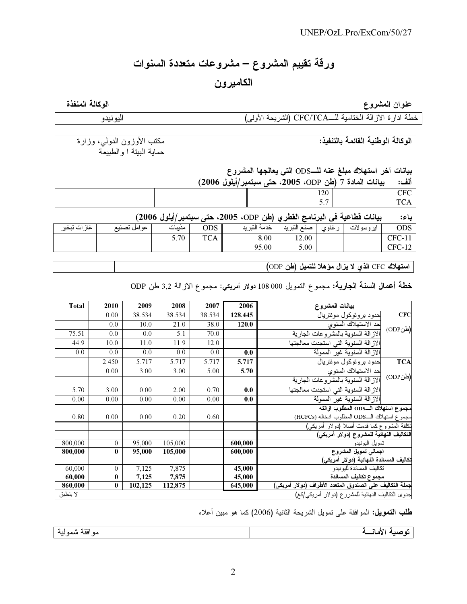# ورفة تقييم المشروع – مشروعات متعددة السنوات

# الكاميرون

عنوان المشروع

الوكالة المنفذة

|  |  | خطة ادار ة الاز الة الختامية للـــCFC/TCA (الشريحة الأولى) |
|--|--|------------------------------------------------------------|
|--|--|------------------------------------------------------------|

| <sub>ا</sub> مكتب الأوزون الدول <i>ي</i> ، وزارة | الوكالة الوطنية القائمة بالتنفيذ: |
|--------------------------------------------------|-----------------------------------|
| حماية البيئة ا والطبيعة                          |                                   |

بيانات آخر استهلاك مبلغ عنه للــODS التي يعالجها المشروع

|  | َ بِيَانَاتِ الْمَادَةِ 7 (طُنْ ODP، 2005، حتى سبتمبر/ايلول 2006) | الف:                      |  |
|--|-------------------------------------------------------------------|---------------------------|--|
|  | 120                                                               | $\mathop{\hbox{\rm TFC}}$ |  |
|  |                                                                   |                           |  |

بيانات فطاعية في البرنامج القطري (طن ODP، 2005، حتى سبتمبر/أيلول 2006) باء:

| التبريد<br>التب بد<br>ايروسولات<br><b>ODS</b><br>َ ات تبخير<br>غان "<br>غاوي<br>عو امل تصنيع<br>.<br>مديبات<br>صنعا<br>حدمه ` | ODS     |
|-------------------------------------------------------------------------------------------------------------------------------|---------|
| <b>TCA</b><br>5.70<br>8.00<br>12.00<br>CFC                                                                                    | UL U-TI |
| 95.00<br>C <sub>CT</sub><br>5.00<br>◡▴                                                                                        |         |

| استهلاك CFC الذي لا يزال مؤهلا للتميل (طن ODP)

خطة أعمال السنة الجارية: مجموع التمويل 000 008 دولار امريكي: مجموع الازالة 3,2 طن ODP

| <b>Total</b> | 2010           | 2009    | 2008    | 2007   | 2006    | بيانات المشروع                                           |            |  |
|--------------|----------------|---------|---------|--------|---------|----------------------------------------------------------|------------|--|
|              | 0.00           | 38.534  | 38.534  | 38.534 | 128.445 | حدود بروتوكول مونتريال                                   | <b>CFC</b> |  |
|              | 0.0            | 10.0    | 21.0    | 38.0   | 120.0   | حد الاستهلاك السنوى                                      | (طنODP)    |  |
| 75.51        | 0.0            | 0.0     | 5.1     | 70.0   |         | الاز الة السنوية بالمشر وعات الجارية                     |            |  |
| 44.9         | 10.0           | 11.0    | 11.9    | 12.0   |         | الاز الة السنوية التي استجدت معالجتها                    |            |  |
| 0.0          | 0.0            | 0.0     | 0.0     | 0.0    | 0.0     | الاز الة السنوية غير الممولة                             |            |  |
|              | 2.450          | 5.717   | 5.717   | 5.717  | 5.717   | حدود بروتوكول مونتريال                                   | <b>TCA</b> |  |
|              | 0.00           | 3.00    | 3.00    | 5.00   | 5.70    | حد الاستهلاك السنوى                                      |            |  |
|              |                |         |         |        |         | الاز الة السنوية بالمشر وعات الجارية                     | (طنODP)    |  |
| 5.70         | 3.00           | 0.00    | 2.00    | 0.70   | 0.0     | الازالة السنوية التي استجدت معالجتها                     |            |  |
| 0.00         | 0.00           | 0.00    | 0.00    | 0.00   | 0.0     | الاز الة السنوية غير الممولة                             |            |  |
|              |                |         |         |        |         | مجموع استهلاك الــODS المطلوب ازالته                     |            |  |
| 0.80         | 0.00           | 0.00    | 0.20    | 0.60   |         | مجموع استهلاك الـODS المطلوب انخاله (HCFCs)              |            |  |
|              |                |         |         |        |         | نكلفة المشروع كما فدمت أصلا (دولار أمريكي)               |            |  |
|              |                |         |         |        |         | التكاليف النهائية للمشروع (دولار أمريكي)                 |            |  |
| 800,000      | $\overline{0}$ | 95,000  | 105,000 |        | 600,000 | نمويل اليونيدو                                           |            |  |
| 800,000      | $\bf{0}$       | 95,000  | 105,000 |        | 600,000 | اجمالى تمويل المشروع                                     |            |  |
|              |                |         |         |        |         | تكاليف المساندة النهائية (دولار أمريكي)                  |            |  |
| 60,000       | $\overline{0}$ | 7,125   | 7,875   |        | 45,000  | تكاليف المساندة لليونيدو                                 |            |  |
| 60,000       | $\bf{0}$       | 7,125   | 7,875   |        | 45,000  | مجموع تكاليف المساندة                                    |            |  |
| 860,000      | $\bf{0}$       | 102,125 | 112,875 |        | 645,000 | جملة التكاليف على الصندوق المتعدد الأطراف (دولار أمريكي) |            |  |
| لا ينطبق     |                |         |         |        |         | جدوى النكاليف النهائية للمشروع (دولار أمريكي/كغ)         |            |  |

طلب التمويل: الموافقة على تمويل الشريحة الثانية (2006) كما هو مبين أعلاه

توصية الأمانسة

موافقة شمولية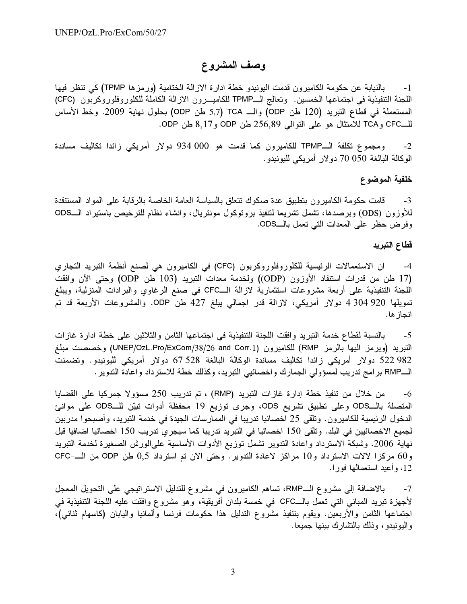## وصف المشروع

 (TPMP ) - - -  -1 اللجنة التنفيذية في اجتماعها الخمسين. وتعالج الــTPMP للكاميـــرون الازالة الكاملة للكلوروفلوروكربون (CFC) المستعملة في قطَّاع التبريد (120 طن ODP) والــ 5,7 TCA طن ODP) بحلول نهاية 2009. وخط الأساس للـــCFC وTCA للامتثال هو على النوالي 256,89 لهن ODP. وODP

2- ومجموع تكلفة الــTPMP للكاميرون كما قدمت هو 000 934 دولار أمريكي زائدا تكاليف مساندة الوكالة البالغة 050 70 دولار أمريكي لليونيدو .

#### خلفية الموضوع

3- قامت حكومة الكامير ون يتطبيق عدة صكوك تتعلق بالسياسة العامة الخاصية بالر قابة على المواد المستنفدة للأوزون (ODS) وبرصدها، تشمل تشريعا لتنفيذ بروتوكول مونتريال، وانشاء نظام للترخيص باستيراد الــODS وفر ض حظر على المعدات التي تعمل بالـــODS.

#### قطاع التبريد

4- ان الاستعمالات الرئيسية للكلور وفلور وكريون (CFC) في الكاميرون هي لصنع أنظمة التبريد التجاري (17 طن من قدرات استنفاد الأوزون (ODP)) ولخدمة معدات التبريد (103 طن ODP) وحتى الآن وافقت اللحنة التنفيذية على أربعة مشروعات استثمارية لإزالة الــCFC في صنع الرغاوي والبرادات المنزلية، وبيلغ تمويلها 920 304 4 دولار أمريكي، لازالة قدر اجمالي يبلغ 427 طن ODP. والمشروعات الأربعة قد تم انجاز ها.

 B - ," -/- -  ! " @ - - &@ -5 النبريد (ويرمز اليها بالرمز RMP) للكاميرون (UNEP/OzL.Pro/ExCom/38/26 and Corr.1) وخصصت مبلغ .<br>982 522 دولار أمريكي زائدا تكاليف مساندة الوكالة البالغة 528 67 دولار أمريكي لليونيدو. وتضمنت الــRMP بر امج تدريب لمسؤولي الجمار ك واخصائبي التبريد، وكذلك خطة للاسترداد واعادة التدوير .

6- من خلال من تنفيذ خطة إدارة غازات التبريد (RMP) ، تم تدريب 250 مسؤولا جمركيا على القضايا المتصلة بالــODS وعلى تطبيق تشريع ODS، وجرى توزيع 19 محفظة أدوات تبيّن للــODS على موانئ الدخول الرئيسية للكامير ون. وتلقى 25 اخصائيا تدريبا في الممار سات الجيدة في خدمة التبريد، وأصبحوا مدر بين لجميع الاخصائيين في البلد. وتلقى 150 اخصائيا في التبريد تدريبا كما سيجرى تدريب 150 اخصائيا اضافيا قبل نهاية 2006. وشبكة الاسترداد واعادة الندوير تشملٌ توزيع الأدوات الأساسية علىالورش الصغير ة لخدمة التبريد و60 مركزا لألات الاسترداد و10 مراكز لاعادة التدوير . وحتى الآن تم استرداد 0,5 طن ODP من الــ-CFC 12، وأعيد استعمالها فورا.

7- بالإضافة إلى مشر و ع الــRMP، تساهم الكامير ون في مشر و ع للتدليل الإستر اتيجي على التحويل المعجل لأجهز ة تبريد المباني التي تعمل بالــCFC في حمسة بلدان أفريقية، وهو مشر و ع وافقت عليه اللجنة التنفيذية في اجتماعها الثامن والأربعين. ويقوم بتنفيذ مشروع التدليل هذا حكومات فرنسا وألمانيا واليابان (كاسهام ثنائي)، واللهونيدو ، وذلك بالتشارك بينها حميعا.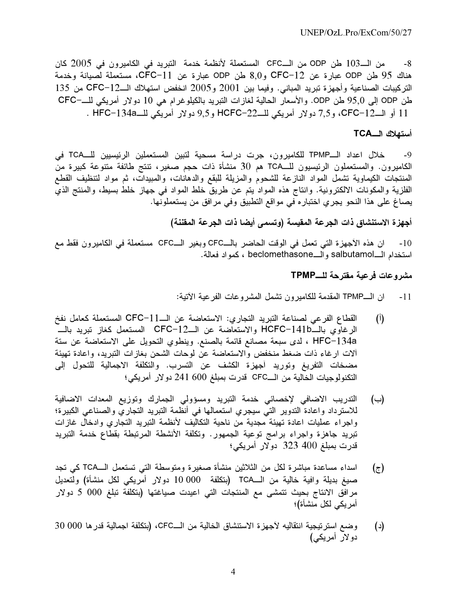من الــ103 طن ODP من الــCFC المستعملة لأنظمة خدمة التبريد في الكاميرون في 2005 كان -8 هناك 95 طن ODP عبارة عن CFC-12 و8,0 طن ODP عبارة عن CFC-11، مستعملة لصيانة وخدمة التركيبات الصناعية وأجهزة تبريد المباني. وفيما بين 2001 و2005 انخفض استهلاك الــCFC-12 من 135 طن ODP إلى 95٫0 طن ODP. والأسعار الحالية لغازات التبريد بالكيلوغرام هي 10 دولار أمريكي للــــــCFC 11 أو الــ12-CFC، و7,5 دولار أمريكي للــ22–HCFC و9,5 دولار أمريكي للــHFC–134a .

### أستهلاك الـــTCA

خلال اعداد الــTPMP للكاميرون، جرت دراسة مسحية لتبين المستعملين الرئيسيين للــTCA في  $-9$ الكاميرون. والمستعملون الرئيسيون للــــTCA هم 30 منشأة ذات حجم صغير، تنتج طائفة متنوعة كبيرة منّ المنتجات الكيماوية تشمل المواد النازعة للشحوم والمزيلة للبقع والدهانات، والمبيدات، ثم مواد لتنظيف القطع الفلزية والمكونات الالكترونية. وانتاج هذه المواد يتم عن طريق خلط المواد في جهاز خلط بسيط، والمنتج الذي يصاغ على هذا النحو يجري اختباره في مواقع التطبيق وفي مرافق من يستعملونها.

أجهزة الاستنشاق ذات الجرعة المقيسة (وتسمى أيضا ذات الجرعة المقننة)

ان هذه الأجهزة التي تعمل في الوقت الحاضر بالـــCFC وبغير الــــCFC مستعملة في الكاميرون فقط مع  $-10$ استخدام الــــاsalbutamo والــــbeclomethasone ، كمواد فعالة.

## مشروعات فرعبة مقترحة للـــTPMP

- ان الـــTPMP المقدمة للكاميرون نشمل المشروعات الفرعية الآتية:  $-11$
- القطاع الفرعي لصناعة التبريد التجاري: الاستعاضة عن الـــ11-CFC المستعملة كعامل نفخ  $(\mathfrak{h})$ الرغاوي بالــHCFC−141b والاستعاضة عن الــCFC−12 المستعمل كغاز نبريد بالـــ HFC-134a ، لدى سبعة مصانع قائمة بالصنع. وينطوي النحويل على الاستعاضة عن سنة ألات ارغاء ذات ضغط منخفض والاستعاضة عن لوحات الشحن بغازات التبريد، واعادة تهيئة مضخات التفريغ وتوريد أجهزة الكشف عن التسرب. والتكلفة الاجمالية للتحول إلى النكنولوجيات الخالية من الـــCFC قدر ت بمبلغ 600 241 دو لار أمريكي؛
- التدريب الاضافى لإخصائي خدمة التبريد ومسؤولي الجمارك وتوزيع المعدات الاضافية  $(\rightarrow)$ للاسترداد واعادة التدوير التي سيجري استعمالها فى أنظمة التبريد التجاري والصناعى الكبيرة؛ واجراء عمليات اعادة تهيئة مجدية من ناحية التكاليف لأنظمة التبريد التجاري وادخال غازات تبريد جاهزة واجراء برامج توعية الجمهور. وتكلفة الأنشطة المرتبطة بقطاع خدمة التبريد قدرت بمبلغ 400 323 دولار أمريكي؛
- اسداء مساعدة مباشرة لكل من الثلاثين منشأة صغيرة ومتوسطة التبي تستعمل الـــTCA كي تجد  $(\tau)$ مر افق الانتاج بحيث تتمشى مع المنتجات التي اعيدت صياغتها (بتكلفة تبلغ 000 5 دولار أمر يكي لكل منشأة)؛
- وضع استر تيجية انتقاليه لآجهزة الاستنشاق الخالية من الــCFC، (بتكلفة اجمالية قدر ها 000 30  $(\iota)$ دو لار أمريكي)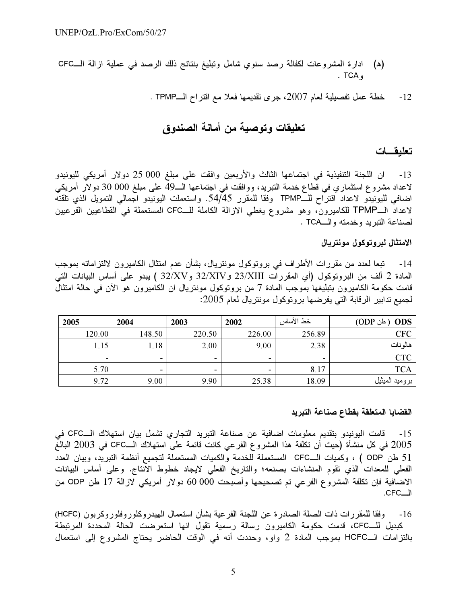- (ه) ادارة المشروعات لكفالة رصد سنوى شامل وتبليغ بنتائج ذلك الرصد في عملية ازالة الــCFC . TCA  $\epsilon$ 
	- خطة عمل تفصيلية لعام 2007، جرى تقديمها فعلا مع اقتراح الــTPMP .  $-12$

## تعليقات وتوصية من أمانة الصندوق

#### تعليقسات

13- ان اللجنة التنفيذية في اجتماعها الثالث والأربعين وافقت على مبلغ 000 25 دولار أمريكي لليونيدو لاعداد مشروع استثماري في قطاع خدمة التبريد، ووافقت في اجتماعها الــ49 على مبلغ 000 30 دولار أمريكي اضافي لليونيدو لاعداد اقتراح للــTPMP وفقا للمقرر 54/45. واستعملت اليونيدو اجمالي التمويل الذي تلقته لاعداد الــTPMP للكاميرون، وهو مشروع يغطي الازالة الكاملة للـــCFC المستعملة في القطاعيين الفرعيين لصناعة التبريد وخدمته والــTCA .

### الامتثال لبروتوكول مونتريال

تبعا لعدد من مقررات الأطراف في بروتوكول مونتريال، بشأن عدم امتثال الكاميرون لالتزاماته بموجب -14 المعادة 2 ألف من البروتوكول (أي المقررات 23/XIII و32/XV و32/XV ) يبدو على أساس البيانات التي قامت حكومة الكاميرون بتبليغها بموجب المادة 7 من بروتوكول مونتريال ان الكاميرون هو الآن في حالة امتثال لجميع تدابير الرقابة التي يفرضها بروتوكول مونتريال لعام 2005:

| 2005                     | 2004   | 2003                     | 2002   | خط الأساس | <b>ODS</b><br>َ طن ODP) |
|--------------------------|--------|--------------------------|--------|-----------|-------------------------|
| 120.00                   | 148.50 | 220.50                   | 226.00 | 256.89    | <b>CFC</b>              |
| 1.15                     | 1.18   | 2.00                     | 9.00   | 2.38      | هالو نات                |
| $\overline{\phantom{0}}$ |        | $\overline{\phantom{0}}$ | $\,$   |           | <b>CTC</b>              |
| 5.70                     |        | $\overline{\phantom{0}}$ | $\,$   | 8.17      | <b>TCA</b>              |
| 9.72                     | 9.00   | 9.90                     | 25.38  | 18.09     | بروميد الميثيل          |

#### القضايا المتعلقة بقطاع صناعة التبريد

قامت اليونيدو بتقديم معلومات اضافية عن صناعة التبريد التجاري تشمل بيان استهلاك الـــCFC في  $-15$ 2005 في كل منشأة (حيث أن تكلفة هذا المشروع الفرعي كانت قائمة على استهلاك الـــCFC في 2003 البالغ 51 طن ODP ) ، وكميات الــCFC المستعملة للخدمة والكميات المستعملة لتجميع أنظمة التبريد، وبيان العدد الفعلي للمعدات الذي نقوم المنشاءات بصنعه؛ والتاريخ الفعلي لايجاد خطوط الانتاج. وعلى أساس البيانات الاضافية فإن تكلفة المشروع الفرعي تم تصحيحها وأصبحت 000 00 دولار أمريكي لازالة 17 طن ODP من  $CFC$ 

وفقا للمقررات ذات الصلة الصادرة عن اللجنة الفرعية بشأن استعمال المهيدروكلوروفلوروكربون (HCFC)  $-16$ كبديل للــCFC، قدمت حكومة الكاميرون رسالة رسمية تقول انها استعرضت الحالة المحددة المرتبطة بالتزامات الـHCFC بموجب المادة 2 واو، وحددت أنه في الوقت الحاضر يحتاج المشروع إلى استعمال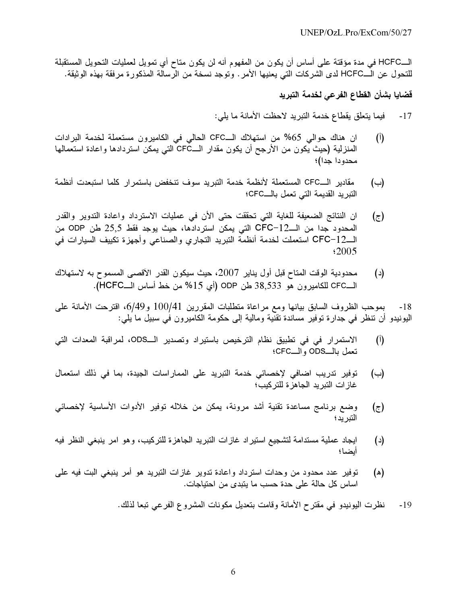الـــHCFC في مدة مؤقتة على أساس أن يكون من المفهوم أنه لن يكون متاح أي تمويل لعمليات التحويل المستقبلة .@- S
 @ - .+ % ; H- HCFC#  ' "

## قضايا بشأن القطاع الفرعي لخدمة التبريد

- 17- فيما يتعلق يقطاع خدمة التبريد لاحظت الأمانة ما يلي:
- (أ) ان هناك حوالي 65% من استهلاك الــCFC الحالي في الكاميرون مستعملة لخدمة البرادات المنز لية (حيث يكون من الأرجح أن يكون مقدار الـــCFČ التي يمكن استردادها وإعادة استعمالها محدودا حدا)؛
- دير الـــCFC المستعملة لأنظمة خدمة التبريد سوف تنخفض باستمرار كلما استبعدت أنظمة  $(\rightarrow)$ التبر يد القديمة التي تعمل بالـــCFC؛
- (ج) ان النتائج الضعيفة للغابة التي تحققت حتى الأن في عمليات الاسترداد واعادة التدوير والقدر المحدود جدا من الـــCFC-12 التي يمكن استردادها، حيث يوجد فقط 25,5 طن ODP من الــCFC−12 استعملت لخدمة أنظمة التبريد التجاري والصناعي وأجهزة تكييف السيارات في \$2005
- حدودية الوقت المتاح قبل أول يناير 2007، حيث سيكون القدر الآقصبي المسموح به لاستهلاك (د) م الــCFC للكاميرون هو 38,533 طن ODP (أي 15% من خط أساس الــHCFC).

حب الظروف السابق بيانها ومع مراعاة متطلبات المقررين 100/41 و6/49، اقترحت الأمانة على -18 البو نبدو أن تنظر في جدار ۃ تو فير مساندۃ تقنية و مالية إلى حكو مة الكامير و ن في سبيل ما بلي :

- (أ) الاستمرار في تطبيق نظام التر خيص باستبر اد وتصدير الـــCDS، لمر اقية المعدات التي تعمل بالـــODS و الـــCFC؛
- '% 6 
 <- ," - 14Z D F- (F) غاز ات التبر بد الجاهز ة للتر كبب ً؛
- (ج) وضيع برنامج مساعدة تقنية أشد مرونة، بمكن من خلاله توفير الأدوات الأساسية لاخصائي التبر ند؛
- د) ايجاد عملية مستدامة لتشجيع استبر اد غاز ات التبر بد الجاهز ة للتركيب، وهو امر ابنيغي النظر افيه  $(\iota)$ أيضا؛
- (ه) توفير عدد محدود من وحدات استر داد و اعادة تدوير غاز ات التبريد هو أمر بنيغي البت فيه على اساس كل حالة على حدة حسب ما يتبدى من احتياجات.
	- 19 نظر ت اليونيدو في مقتر ح الأمانة و قامت بتعديل مكونات المشر و ع الفر عي تبعا لذلك.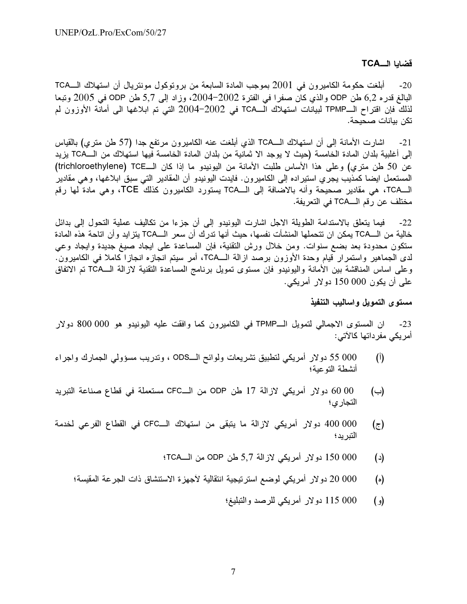#### قضايا الــTCA

أبلغت حكومة الكاميرون في 2001 بموجب المادة السابعة من بروتوكول مونتريال أن استهلاك الـــــــــــــــــــــــــ  $-20$ البالغ قدر 0 6,2 طن ODP والذي كان صفرا في الفترة 2002–2004، وزاد إلى 5,7 طن ODP في 2005 وتبعا لذلك فإن اقتراح الــTPMP لبيانات استهلاك الـــTCA في 2002–2004 التي تم ابلاغها الى أمانة الأوزون لم تكن بيانات صحيحة.

إلى أغلبية بلدان المادة الخامسة (حيث لا يوجد الا ثمانية من بلدان المادة الخامسة فيها استهلاك من الـــTCA يزيد عن 50 طن متري) وعلى هذا الأساس طلبت الأمانة من اليونيدو ما إذا كان الـــTCE (trichloroethylene) المستعمل ايضا كمذيب يجري استيراده إلى الكاميرون. فايدت اليونيدو أن المقادير التي سبق ابلاغها، وهي مقادير الـTCA، هي مقادير صحيحة وأنه بالاضافة إلى الــTCA يستورد الكاميرون كذلك TCE، وهي مادة لها رقم مختلف عن رقم الـــTCA في التعريفة.

22- فيما يتعلق بالاستدامة الطويلة الاجل اشارت اليونيدو إلى أن جزءا من تكاليف عملية التحول إلى بدائل خالية من الــTCA يمكن ان تتحملها المنشأت نفسها، حيث أنها تدرك أن سعر الــTCA يتزايد وأن اتاحة هذه المادة ستكون محدودة بعد بضع سنوات. ومن خلال ورش التقنية، فإن المساعدة على ايجاد صيغ جديدة وايجاد وعي لدى الجماهير واستمرار قيام وحدة الأوزون برصد ازالة الــTCA، أمر سيتم انجازه انجازا كاملا في الكاميرون. وعلى اساس المناقشة بين الأمانة واليونيدو فإن مستوى تمويل برنامج المساعدة التقنية لازالة الــTCA تم الاتفاق علي أن يكون 000 150 دولار أمريكي.

#### مستوى التمويل واساليب التنفيذ

ان المستوى الاجمالي لتمويل الــTPMP في الكاميرون كما وافقت عليه اليونيدو هو 000 800 دولار  $-23$ أمر يكي مفر داتها كالآتي:

- 000 55 دولار أمريكي لتطبيق تشريعات ولوائح الــODS ، وتدريب مسؤولي الجمارك واجراء  $(1)$ أنشطة التوعية؛
- 00 00 دولار أمريكي لازالة 17 طن ODP من الــCFC مستعملة في قطاع صناعة التبريد  $(\rightarrow)$ التجار ي؛
- 000 000 دولار أمريكي لازالة ما يتبقى من استهلاك الــCFC في القطاع الفرعي لخدمة  $(\bar{z})$ التبريد ؛
	- 000 150 دولار أمريكي لازالة 5,7 طن ODP من الــTCA؛  $(\iota)$
	- 000 20 دو لار أمريكي لوضع استر تيجية انتقالية لآجهز ة الاستنشاق ذات الجر عة المقيسة؛  $(\circ)$ 
		- 000 115 دولار أمريكي للرصد والتبليغ؛  $\left( \rho \right)$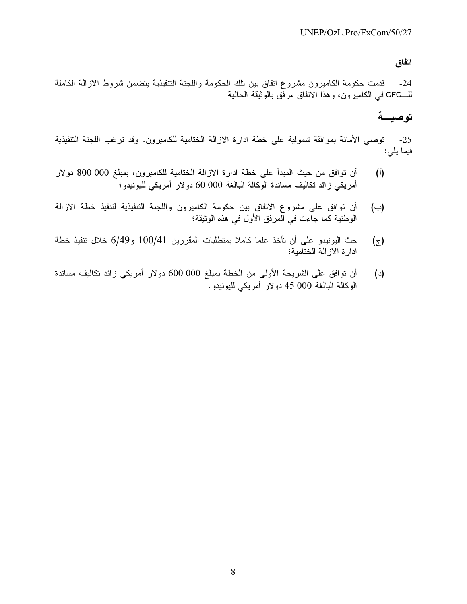#### اتفاق

دمت حكومة الكامير ون مشر و ع اتفاق بين تلك الحكومة واللحنة التنفيذية بتضمن شر وط الإز الة الكاملة -24 للـــCFC في الكامير ون، وهذا الإتفاق مر فق بالوشقة الحالية

# توصيــة

 ! " FB - . " - ," ; @
 + 4 -25 فيما يلي:

- 800 000 C"

 < " - ," 2- [ 5 2 (2) أمريكي زائد تكاليف مساندة الوكالة البالغة 000 60 دولار أمريكي لليونيدو؛
- (ب) أن توافق على مشروع الإتفاق بين حكومة الكاميرون واللحنة التنفيذية لتنفيذ خطة الإزالة الوطنية كما جاءت في المرفق الأول في هذه الوثيقة؛
- حث اليونيدو على أن تأخذ علما كاملا بمتطلبات المقررين 100/41 و6/49 خلال تنفيذ خطة  $(\bar{z})$ ادار ة الإز الة الختامية؛
- 0 -1 2 600 000 C"

 ,+ ; ," 5 2 (-(د) الوكالة البالغة 000 45 دولار أمريكي لليونيدو .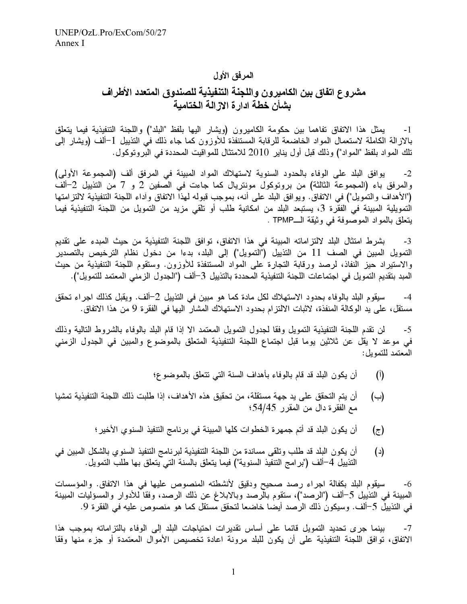## المرفق الأول

## مشروع اتفاق بين الكاميرون واللجنة التنفيذية للصندوق المتعدد الأطراف بشأن خطة ادار ة الاز الـة الختامبة

[- يمثل هذا الاتفاق تفاهما بين حكومة الكاميرون (ويشار اليها بلفظ "البلد") واللجنة التنفيذية فيما يتعلق بالازالة الكاملة لاستعمال المواد الخاضعة للرقابة المستنفذة للأوزون كما جاء ذلك في التذييل 1–ألف (ويشار إلى تلك المو اد بلفظ "المو اد") و ذلك قبل أو ل يناير 2010 للامتثال للمو اقيت المحددة في البر و تو كو ل .

2- بوافق البلد على الوفاء بالحدود السنوية لاستهلاك المواد المبينة في المرفق ألف (المجموعة الأولى) والمرفق باء (المجموعة الثالثة) من بروتوكول مونتريال كما جاءت في الصِّفين 2 و 7 من التذييل 2–ألف ("الأهداف و التمويل") في الاتفاق. ويو افق البلد على أنه، بموجب قبوله لهذا الاتفاق و آداء اللجنة التتفيذية لالتز امتها الْتمويلية المبينة في الفقر ة 3، يستبعد البلد من امكانية طلب أو تلقى مزيد من التمويل من اللجنة التتفيذية فيما يتعلق بالمواد الموصّوفة في وثيقة الــTPMP .

3- بشر ط امتثال البلد لالتز اماته المبينة في هذا الاتفاق، توافق اللجنة التنفيذية من حيث المبدء على تقديم التمويل المبين في الصف 11 من التذييل ("التمويل") إلى البلد، بدءا من دخول نظام الترخيص بالتصدير ٰ والاستبراد حيز النُّفاذ، لرصد ورقابة التجارة على المواد المستنفذة للأوزون. وستقوم اللُّحنة التنفيذية من حيث المبد بتقديم التمويل في اجتماعات اللجنة التنفيذية المحددة بالتذييل 3–ألف ("الجدول الز مني المعتمد للتمويل").

4- سيقوم البلد بالوفاء بحدود الاستهلاك لكل مادة كما هو مبين في التذييل 2–ألف. ويقبل كذلك اجر اء تحقق مستقل، على بد الوكالة المنفذة، لاثبات الالتز ام بحدود الاستهلاك المشار ۖ اليها في الفقر ة 9 من هذا الاتفاق.

 6 ;
 :
 -"
 9 G -% ' '- @ ' ! " 9-@ -5 في موعد لا يقل عن ثلاثين يوما قبل اجتماع اللجنة التنفيذية المتعلق بالموصوع والمبين في الجدول الزمني المعتمد للتمويل:

- (أ) أن يكون البلد قد قام بالوفاء بأهداف السنة التي تتعلق بالموضوع؛
- (ب) أن بتم التحقق على بد جهة مستقلة، من تحقيق هذه الأهداف، إذا طلبت ذلك اللجنة التنفيذية تمشيا مع الفُقر ة دال من المقر ر 54/45؛
	- (ج) أن يكون البلد قد أتم جمهر ة الخطوات كلها المبينة في بر نامج التتفيذ السنوي الأخير ؛
- د) أن يكون البلد قد طلب وتلقى مساندة من اللجنة التتفيذية لبر نامج التتفيذ السنوى بالشكل المبين في ) التذييل 4–ألف ("بر امج التنفيذ السنوية") فيما يتعلق بالسنة التي يتعلق بها طلب التمويل.

6- سبقوم البلد بكفالة اجراء رصد صحبح ودقيق لأنشطته المنصوص عليها في هذا الاتفاق. والمؤسسات المبينة في التذييل 5–ألف ("الرصد")، ستقوم بالرصد وبالإبلاغ عن ذلك الرصد، وفقا للأدوار والمسؤليات المبينة في التذيبلِّ 5–ألف. وسيكونُ ذلك الرحمد أيضًا خاضعاً لتحقق مستقل كما هو منصوص عليه في الفقر ة 9.

7- بينما جر ي تحديد التمويل قائما على أساس تقدير ات احتياجات البلد إلى الوفاء بالتز اماته بموجب هذا الاتفاق، توافق اللجنة التنفيذية على أن يكون للبلد مرونة اعادة تخصيص الأموال المعتمدة أو جزء منها وفقا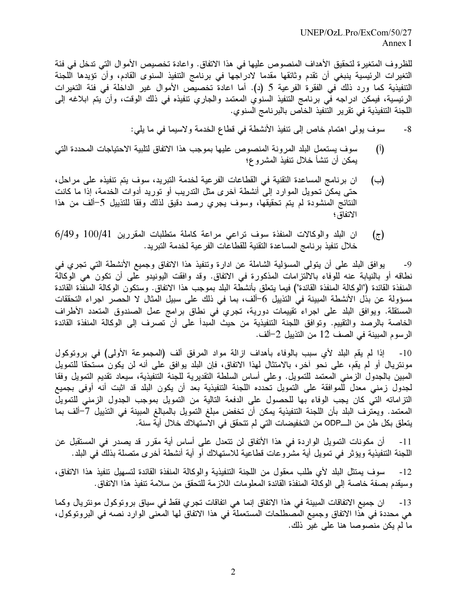للظر وف المتغير ة لتحقيق الأهداف المنصوص عليها في هذا الاتفاق. واعادة تخصيص الأموال التي تدخل في فئة التغير ات الرئيسية بنيغي أن تقدم وثائقها مقدما الإدراجها في برنامج التنفيذ السنوي القادم، وأن تؤيدها اللحنة التنفيذية كما ورد ذلك في الفقرة الفرعية 5 (د). أما اعادة تخصيص الأموال غير الداخلة في فئة التغيرات الرئيسية، فيمكن ادراجه في برنامج التنفيذ السنوي المعتمد والجاري تتفيذه في ذلك الوقت، وأن يتم ابلاغه الي اللجنة التنفيذية في تقرير التنفيذ الخاص بالبرنامج السنوي.

8- سوف بولي اهتمام خاص إلى تنفيذ الأنشطة في قطاع الخدمة ولاسيما في ما يلي:

- (أ) سوف يستعمل البلد المر ونة المنصوص عليها بموجب هذا الاتفاق لتلبية الاحتياجات المحددة التي يمكن أن تنشأ خلال تنفيذ المشروع؛
- (ب) ان بر نامج المساعدة التقنية في القطاعات الفر عية لخدمة التبريد، سوف يتم تتفيذه على مر احل، حتى يمكن تحويل الموارد إلىّ أنشطة آخر ي مثل التدريب أو توريد أدوات الخدمة، إذا ما كانت النتائج المنشودة لم يتم تحقيقها، وسوف يجرى رصد دقيق لذلك وفقا للتذبيل 5–ألف من هذا الاتفاق؛
- $(6/49, 100/41, 0)$ ان البلد والوكالات المنفذة سوف تراعى مراعة كاملة متطلبات المقررين 100/41 و خلال تنفيذ بر نامج المساعدة التقنية للقطاعات الفر عية لخدمة التبر يد.

9- بو افق البلد على أن يتولى المسؤلية الشاملة عن إدار ة وتنفيذ هذا الإتفاق وحميع الأنشطة التي تجرى في نطاقه أو بالنبابة عنه للَّوفاء بالإلَّتزامات المذكور ة في الإتفاق. وقد وافقت البونيدو على أن تكون مي الوكالة " المنفذة القائدة ("الو كالة المنفذة القائدة") فيما يتعلق يأنشطة البلد يموجب هذا الإتفاق. وستكون الو كالة المنفذة القائدة مسؤولة عن بذُل الأنشطة المبينة في التذييل 6–ألف، بما في ذلك على سبيل المثال لا الحصر اجر اء التحققات المستقلة. وبوافق البلد على اجراء تقييمات دورية، تجرى ًفي نطاق برامج عمل الصندوق المتعدد الأطراف الخاصبة بالرصد والتقييم. وتوافق اللجنة التنفيذية من حيث الميدأ على أن تصرف إلى الوكالة المنفذة القائدة الرسوم المبينة في الصف 12 من التذييل 2–ألف.

10- إذا لم يقم البلد لأي سبب بالوفاء بأهداف از الة مواد المرفق ألف (المجموعة الأولى) في بروتوكول مونتر بال أو الم يقم، على نحو آخر ، بالامتثال لهذا الاتفاق، فإن البلد يوافق على أنه لن يكون مستحقا للتمويل المبين بالجدول الزمني المعتمد للتمويل. وعلى أساس السلطة التقديرية للجنة التنفيذية، سيعاد تقديم التمويل وفقا لجدول زمني معدل للَّموافقة على التمويل تحدده اللجنة التنفيذية بعد أن يكون البلد قد اثبت أنه أوفي بجميع التز اماته التي كان يجب الوفاء بها للحصول على الدفعة التالية من التمويل بموجب الجدول الزمني للتمويل المعتمد. ويعتر ف البلد بأن اللجنة التنفيذية يمكن أن تخفض مبلغ التمويل بالمبالغ المبينة في التذييل 7–ألف بما يتعلق بكل طن من الـــODP من التخفيضات التي لم تتحقق في الاستهلاك خلال أية سنة.

  '
@ -4 - @ 2 \*2 ," '-% 5!+ - ' 2 -11 اللجنة التنفيذية ويؤثر في تمويل أية مشرٍّ و عات قطاعية للاستهلاك أو أية أنشطة أخر ي متصلة بذلكً في البلد.

12- سوف يمتثل البلد لأي طلب معقول من اللجنة التنفيذية والوكالة المنفذة القائدة لتسهيل تنفيذ هذا الاتفاق، وسنقدم بصفة خاصبة إلى إلوكالة المنفذة القائدة المعلومات اللاز مة للتحقق من سلامة تنفيذ هذا الإتفاق.

13- ان جميع الاتفاقات المبينة في هذا الاتفاق إنما هي اتفاقات تجري فقط في سياق بروتوكول مونتريال وكما هي محددة في هذا الاتفاق وجميع المصطلحات المستعملة في هذا الاتفاق لها المعنى الوار د نصه في البر وتوكول، ما لم يكن منصوصا هنا على غير ذلك.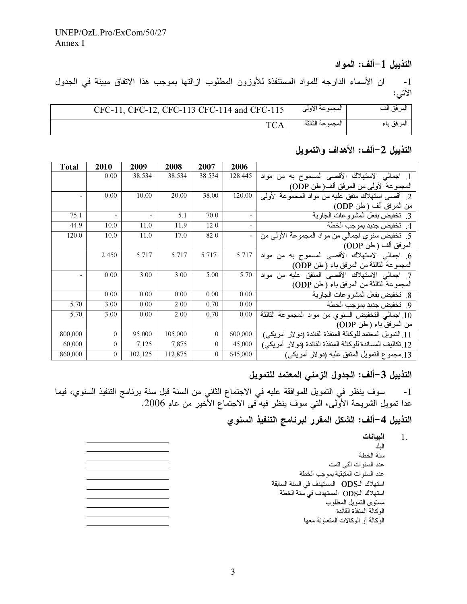## التذييل 1–ألف: المواد

1- ان الأسماء الدارجه للمواد المستنفذة للأوزون المطلوب ازالتها بموجب هذا الاتفاق مبينة في الجدول الآتي:

| CFC-11, CFC-12, CFC-113 CFC-114 and CFC-115 | المجموعة الأولى   | المر فق ألف |
|---------------------------------------------|-------------------|-------------|
| <b>TCA</b>                                  | المحمو عة الثالثة | المر فق باء |

## التذييل 2-ألف: الأهداف والتمويل

| <b>Total</b> | 2010           | 2009    | 2008    | 2007             | 2006                     |                                                             |
|--------------|----------------|---------|---------|------------------|--------------------------|-------------------------------------------------------------|
|              | 0.00           | 38.534  | 38.534  | 38.534           | 128.445                  | 1. اجمالي الاستهلاك الأقصىي المسموح به من مواد              |
|              |                |         |         |                  |                          | المجموعة الأولى من المرفق ألف( طن ODP)                      |
| -            | 0.00           | 10.00   | 20.00   | 38.00            | 120.00                   | 2. أقصبي استهلاك متفق عليه من مواد المجموعة الأولى          |
|              |                |         |         |                  |                          | من المرفق ألف ( طن ODP)                                     |
| 75.1         | L,             |         | 5.1     | 70.0             | $\overline{\phantom{0}}$ | 3 نخفيض بفعل المشروعات الجارية                              |
| 44.9         | 10.0           | 11.0    | 11.9    | 12.0             | $\overline{\phantom{a}}$ | 4. تخفيض جديد بموجب الخطة                                   |
| 120.0        | 10.0           | 11.0    | 17.0    | 82.0             |                          | 5.  تخفيض سنوي اجمالي من مواد المجموعة الأولى من            |
|              |                |         |         |                  |                          | المرفق ألف ( طن ODP)                                        |
|              | 2.450          | 5.717   | 5.717   | 5.717.           | 5.717                    | 6. اجمالي الاستهلاك الأقصىي المسموح به من مواد              |
|              |                |         |         |                  |                          | المجموعة الثالثة من المرفق باء (طن ODP)                     |
|              | 0.00           | 3.00    | 3.00    | 5.00             | 5.70                     | 7. اجمالي الاستهلاك الأقصبي المتفق عليه من مواد             |
|              |                |         |         |                  |                          | المعجموعة الثالثة من المرفق باء (طن ODP)                    |
|              | 0.00           | 0.00    | 0.00    | 0.00             | 0.00                     | 8 كخفيض بفعل المشروعات الجارية                              |
| 5.70         | 3.00           | 0.00    | 2.00    | 0.70             | 0.00                     | 9. تخفيض جديد بموجب الخطة                                   |
| 5.70         | 3.00           | 0.00    | 2.00    | 0.70             | 0.00                     | 10 اجمالي التخفيض السنوى من مواد المجموعة الثالثة           |
|              |                |         |         |                  |                          | من المرفق باء ( طن ODP)                                     |
| 800,000      | $\theta$       | 95,000  | 105,000 | $\overline{0}$   | 600,000                  | 11 النمويل المعتمد للوكالة المنفذة القائدة (دو لار أمريكي)  |
| 60,000       | $\overline{0}$ | 7,125   | 7,875   | $\boldsymbol{0}$ | 45,000                   | 12 تكاليف المساندة للوكالة المنفذة القائدة (دو لار  أمريكي) |
| 860,000      | $\overline{0}$ | 102,125 | 112,875 | $\overline{0}$   | 645,000                  | 13 مجموع التمويل المتفق عليه (دو لار أمريكي)                |

## التذييل 3–ألف: الجدول الزمني المعتمد للتمويل

 $1.$ 

1- سوف ينظر في التمويل للموافقة عليه في الاجتماع الثاني من السنة قبل سنة برنامج التنفيذ السنوي، فيما<br>عدا تمويل الشريحة الأولى، التي سوف ينظر فيه في الاجتماع الأخير من عام 2006.

## التذييل 4–ألف: الشكل المقرر لبرنامج التنفيذ السنوى

| البيانات                                   |
|--------------------------------------------|
| الىلد                                      |
| سنة الخطة                                  |
| عدد السنوات التبي اتمت                     |
| عدد السنوات المتبقية بموجب الخطة           |
| استهلاك الـODS   المستهدف في السنة السابقة |
| استهلاك الـODS   المستهدف في سنة الخطة     |
| مستوى التمويل المطلوب                      |
| الوكالة المنفذة القائدة                    |
| الوكالة أو الوكالات المتعاونة معها         |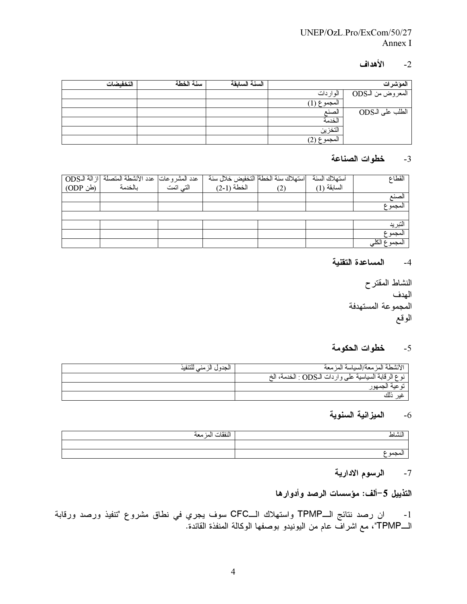## UNEP/OzL.Pro/ExCom/50/27 Annex I

## $-2$ الأهداف

| التخفيضات | سنة الخطة | السنة السابقة |                         | المؤشرات          |
|-----------|-----------|---------------|-------------------------|-------------------|
|           |           |               | الواردات                | المعروض من الـODS |
|           |           |               | $\overline{(1)$ المجموع |                   |
|           |           |               | الصنع                   | الطلب على الـODS  |
|           |           |               | الخدمة                  |                   |
|           |           |               | التخزين                 |                   |
|           |           |               | المجموع (2)             |                   |

## 3- خطوات الصناعة

| عدد المشروعات  عدد الأنشطة المنصلة  ازالة الـODS <br>  النبي اتمت     مسلحدمة   (طن ODP) | استهلاك سنة الخطة التخفيض خلال سنة | أستهلاك السنة | القطاع       |
|------------------------------------------------------------------------------------------|------------------------------------|---------------|--------------|
|                                                                                          | $(2-1)$ الْخَطَةَ                  | السابقة (1)   |              |
|                                                                                          |                                    |               | لصنع         |
|                                                                                          |                                    |               | المجموع      |
|                                                                                          |                                    |               |              |
|                                                                                          |                                    |               | التبريد      |
|                                                                                          |                                    |               | المجموع      |
|                                                                                          |                                    |               | المجموع الكا |

4- المساعدة التقنية

النشاط المقترح الهدف المجموعة المستهدفة الوقع

## 5- خطوات الحكومة

| الجدول الزمني للتنفيذ | الأنشطة المزمعة/السياسة المزمعة                      |
|-----------------------|------------------------------------------------------|
|                       | نوع الرقابة السياسية على واردات الـODS : الخدمة، الخ |
|                       | . ب <b>ه عنه الجمهور</b>                             |
|                       |                                                      |

## 6- الميزانية السنوية

| النفقات المزمعة | النشاط |
|-----------------|--------|
|                 |        |
|                 | محمه   |

## 7- الرسوم الادارية

## التذييل 5–ألف: مؤسسات الرصد وأدوارها

1- ان رصد نتائج الــTPMP واستهلاك الــCFC سوف يجري في نطاق مشروع "تنفيذ ورصد ورقابة<br>الــTPMP"، مع اشراف عام من اليونيدو بوصفها الوكالة المنفذة القائدة.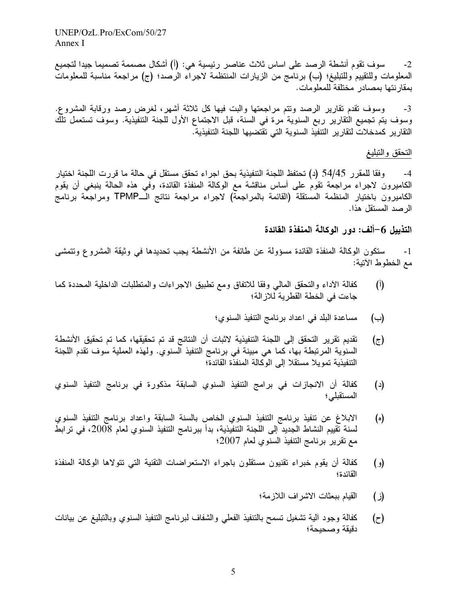$UNEP/OzL$  Pro/ExCom/50/27 Annex I

سوف نقوم أنشطة الرصد على اساس ثلاث عناصر رئيسية هي: (أ) أشكال مصممة تصميما جيدا لتجميع  $-2$ المعلومات وللتقييم وللتبليغ؛ (ب) برنامج من الزيارات المنتظمة لاجراء الرصد؛ (ج) مراجعة مناسبة للمعلومات بمقار نتها بمصادر ًمختلفة للمعلومات.

وسوف نقدم نقارير الرصد ونتم مراجعتها والبت فيها كل ثلاثة أشهر، لغرض رصد ورقابة المشروع.  $-3$ وسوف يتم تجميع التقارير ربع السنوية مرة في السنة، قبل الاجتماع الأول للجنة التنفيذية. وسوف تستعمل تلك التقارير كمدخلات لتقارير التنفيذ السنوية التى تقتضيها اللجنة التنفيذية.

#### التحقق والتبليغ

وفقا للمقرر 54/45 (د) تحتفظ اللجنة التنفيذية بحق اجراء تحقق مستقل في حالة ما قررت اللجنة اختيار -4 الكاميرون لاجراء مراجعة تقوم على أساس مناقشة مع الوكالة المنفذة القائدة، وفي هذه الحالة ينبغي أن يقوم الكاميرون باختيار المنظمة المستقلة (القائمة بالمراجعة) لاجراء مراجعة نتائج الــTPMP ومراجعة برنامج الر صد المستقل هذا.

#### التذييل 6–ألف: دور الوكالة المنفذة القائدة

ستكون الوكالة المنفذة القائدة مسؤولة عن طائفة من الأنشطة يجب تحديدها في وثيقة المشروع وتتمشى  $-1$ مع الخطوط الآتية:

- كفالة الأداء والتحقق المالي وفقا للاتفاق ومع تطبيق الاجراءات والمتطلبات الداخلية المحددة كما  $\binom{1}{k}$ جاءت في الخطة القطرية للاز الة؛
	- مساعدة البلد في اعداد برنامج التنفيذ السنوي؛  $(\rightarrow)$
- تقديم تقرير التحقق إلى اللجنة التنفيذية لاثبات أن النتائج قد تم تحقيقها، كما تم تحقيق الأنشطة  $(\tau)$ السنوية المرتبطة بها، كما هي مبينة في برنامج التنفيذ السنوي. ولهذه العملية سوف تقدم اللجنة التنفيذية تمويلا مستقلا إلى الوكالة المنفذة القائدة؟
- كفالة أن الانجازات في برامج التنفيذ السنوي السابقة مذكورة في برنامج التنفيذ السنوي  $(\iota)$ المستقبلي؛
- الابلاغ عن تنفيذ برنامج التنفيذ السنوي الخاص بالسنة السابقة واعداد برنامج التنفيذ السنوي  $(\circ)$ لسنة تقييم النشاط الجديد إلى اللجنة التنفيذية، بدأ ببرنامج التنفيذ السنوي لعام 2008، في ترابط مع نقرير برنامج التنفيذ السنوى لعام 2007؛
- كفالة أن يقوم خبراء تقنيون مستقلون باجراء الاستعراضات التقنية التي تتولاها الوكالة المنفذة  $\left( \rho \right)$ القائدة؛
	- القيام ببعثات الاشراف اللازمة؛ (ز)
- كفالة وجود ألية نشغيل نسمح بالتنفيذ الفعلى والشفاف لبرنامج التنفيذ السنوي وبالتبليغ عن بيانات  $(\tau)$ دقيقة وصحيحة؛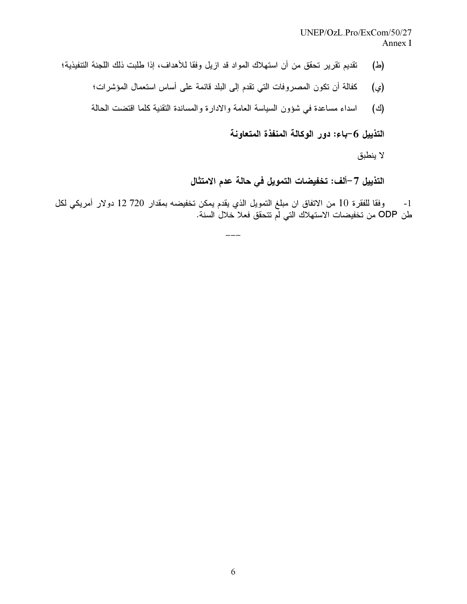## UNEP/OzL.Pro/ExCom/50/27 Annex I

- تقديم تقرير تحقق من أن استهلاك المواد قد ازيل وفقا للأهداف، إذا طلبت ذلك اللجنة التنفيذية؛ (රු)
	- كفالة أن تكون المصروفات التي تقدم إلى البلد قائمة على أساس استعمال المؤشرات؛ (ي)
	- اسداء مساعدة في شؤون السياسة العامة والادارة والمساندة النقنية كلما اقتضت الحالة (ජ)

التذييل 6–باء: دور الوكالة المنفذة المتعاونة

لا ينطبق

## التذييل 7–ألف: تخفيضات التمويل في حالة عدم الامتثال

1- وفقا للفقرة 10 من الاتفاق ان مبلغ التمويل الذي يقدم يمكن تخفيضه بمقدار 720 12 دولار أمريكي لكل<br>طن ODP من تخفيضات الاستهلاك التي لم تتحقق فعلا خلال السنة.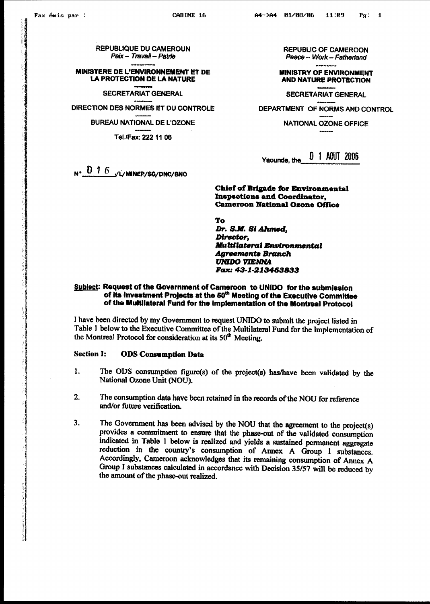**REPUBLIQUE DU CAMEROUN** Paix - Travail - Patrie

MINISTERE DE L'ENVIRONNEMENT ET DE **LA PROTECTION DE LA NATURE** 

**SECRETARIAT GENERAL** 

DIRECTION DES NORMES ET DU CONTROLE

**BUREAU NATIONAL DE L'OZONE** 

Tel./Fax: 222 11 06

**REPUBLIC OF CAMEROON** Peace -- Work -- Fatherland

**MINISTRY OF ENVIRONMENT AND NATURE PROTECTION** 

**SECRETARIAT GENERAL** DEPARTMENT OF NORMS AND CONTROL

**NATIONAL OZONE OFFICE** 

[0 1 AOUT 2006 Yaounde, the

**Chief of Brigade for Environmental Inspections and Coordinator, Cameroon National Ozone Office** 

To Dr. S.M. St Ahmed, Director, **Multilateral Environmental Agreements Branch UNIDO VIENNA** Fax: 43-1-213463833

#### Subject: Request of the Government of Cameroon to UNIDO for the submission of its investment Projects at the 50<sup>th</sup> Meeting of the Executive Committee of the Multilateral Fund for the implementation of the Montreal Protocol

I have been directed by my Government to request UNIDO to submit the project listed in Table 1 below to the Executive Committee of the Multilateral Fund for the Implementation of the Montreal Protocol for consideration at its 50<sup>th</sup> Meeting.

#### **Section I: ODS** Consumption Data

- $\mathbf{1}$ . The ODS consumption figure(s) of the project(s) has/have been validated by the National Ozone Unit (NOU).
- The consumption data have been retained in the records of the NOU for reference  $2.$ and/or future verification.
- 3. The Government has been advised by the NOU that the agreement to the project(s) provides a commitment to ensure that the phase-out of the validated consumption indicated in Table 1 below is realized and yields a sustained permanent aggregate reduction in the country's consumption of Annex A Group I substances. Accordingly, Cameroon acknowledges that its remaining consumption of Annex A Group I substances calculated in accordance with Decision 35/57 will be reduced by the amount of the phase-out realized.

 $N^*$  0 1 6  $\sqrt{L}$  Minep/sq/DNC/BNO